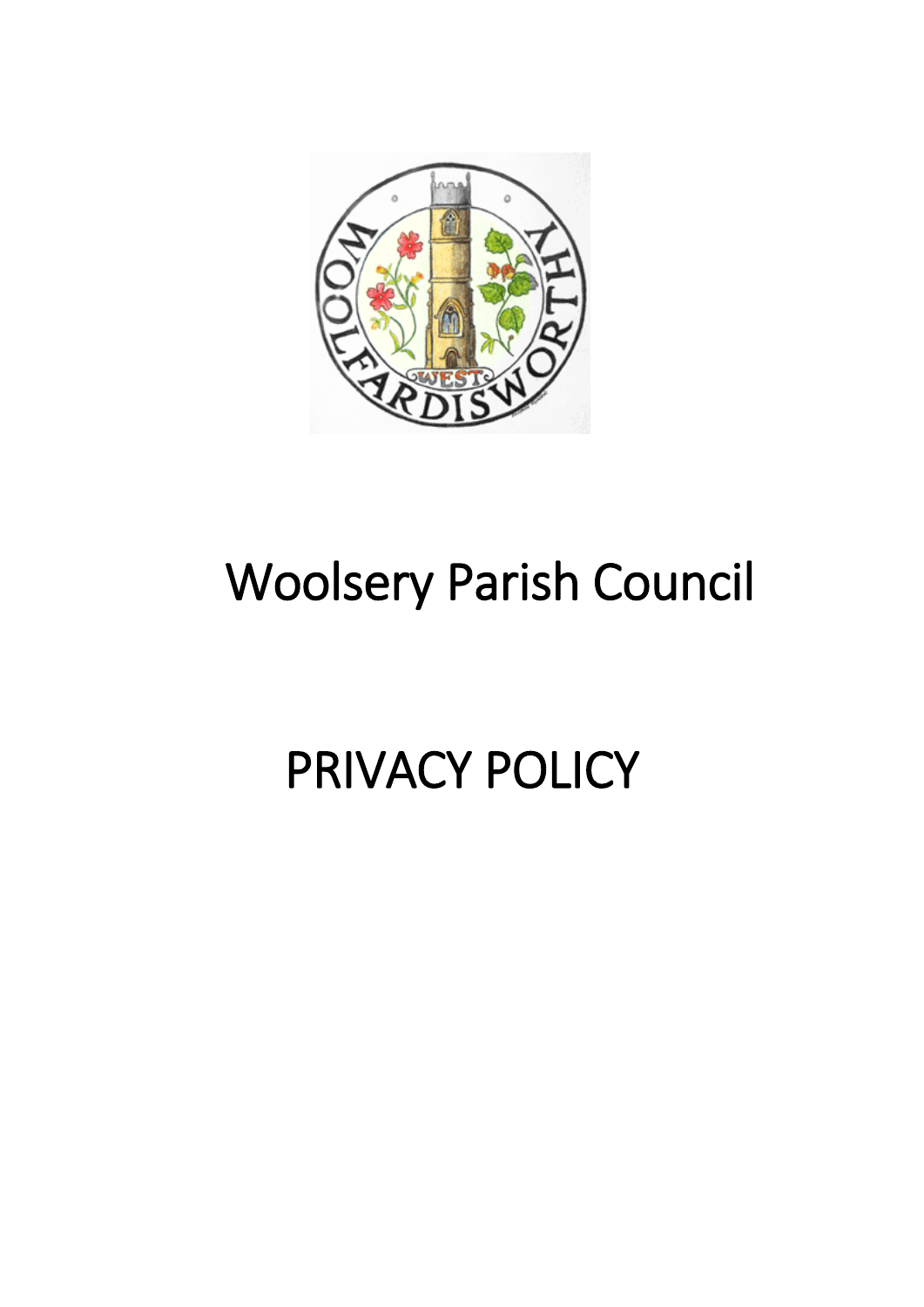

# Woolsery Parish Council

# PRIVACY POLICY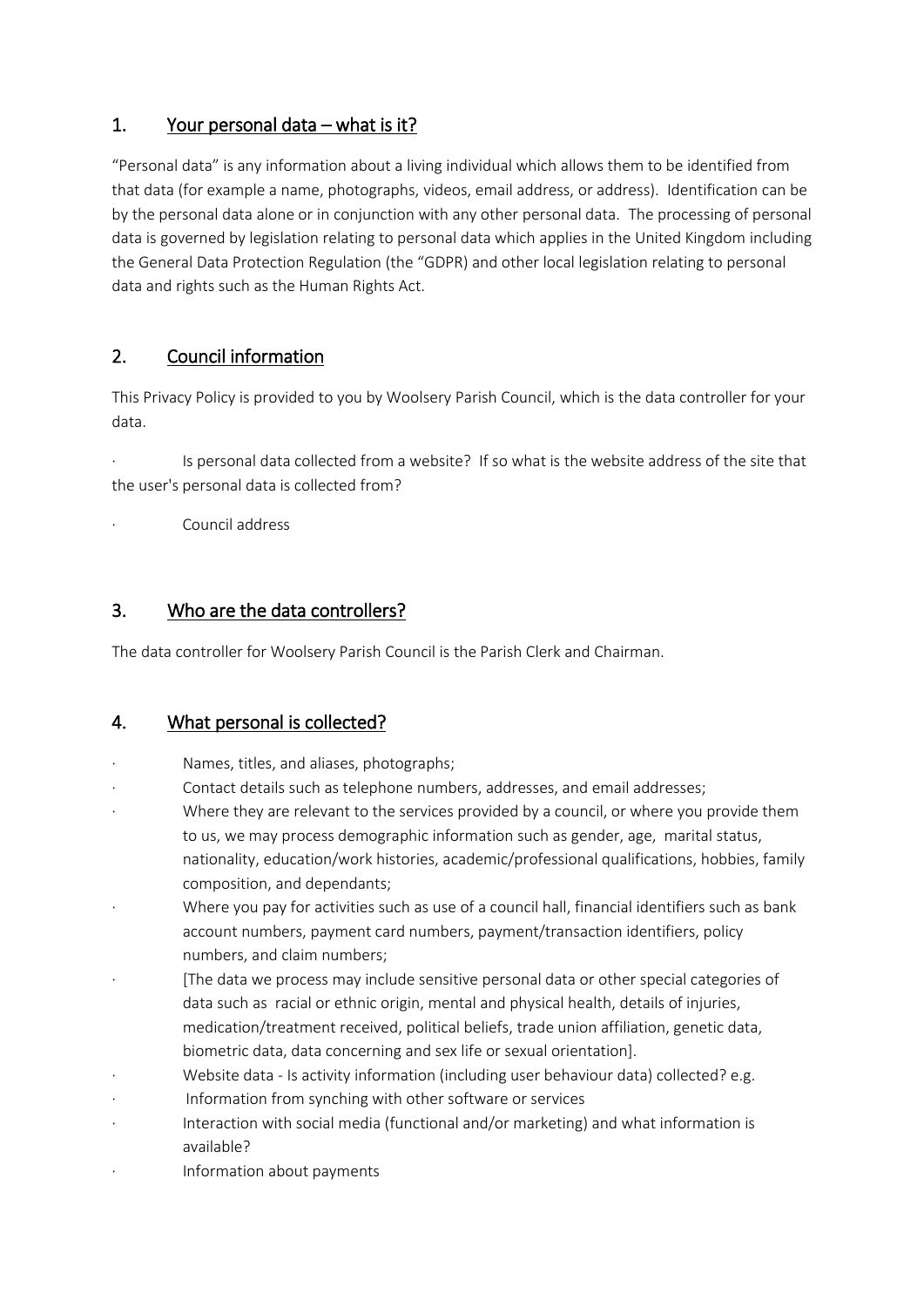### 1. Your personal data – what is it?

"Personal data" is any information about a living individual which allows them to be identified from that data (for example a name, photographs, videos, email address, or address). Identification can be by the personal data alone or in conjunction with any other personal data. The processing of personal data is governed by legislation relating to personal data which applies in the United Kingdom including the General Data Protection Regulation (the "GDPR) and other local legislation relating to personal data and rights such as the Human Rights Act.

## 2. Council information

This Privacy Policy is provided to you by Woolsery Parish Council, which is the data controller for your data.

· Is personal data collected from a website? If so what is the website address of the site that the user's personal data is collected from?

· Council address

### 3. Who are the data controllers?

The data controller for Woolsery Parish Council is the Parish Clerk and Chairman.

#### 4. What personal is collected?

- Names, titles, and aliases, photographs;
- Contact details such as telephone numbers, addresses, and email addresses;
- Where they are relevant to the services provided by a council, or where you provide them to us, we may process demographic information such as gender, age, marital status, nationality, education/work histories, academic/professional qualifications, hobbies, family composition, and dependants;
- Where you pay for activities such as use of a council hall, financial identifiers such as bank account numbers, payment card numbers, payment/transaction identifiers, policy numbers, and claim numbers;
- · [The data we process may include sensitive personal data or other special categories of data such as racial or ethnic origin, mental and physical health, details of injuries, medication/treatment received, political beliefs, trade union affiliation, genetic data, biometric data, data concerning and sex life or sexual orientation].
- Website data Is activity information (including user behaviour data) collected? e.g.
- Information from synching with other software or services
- Interaction with social media (functional and/or marketing) and what information is available?
- · Information about payments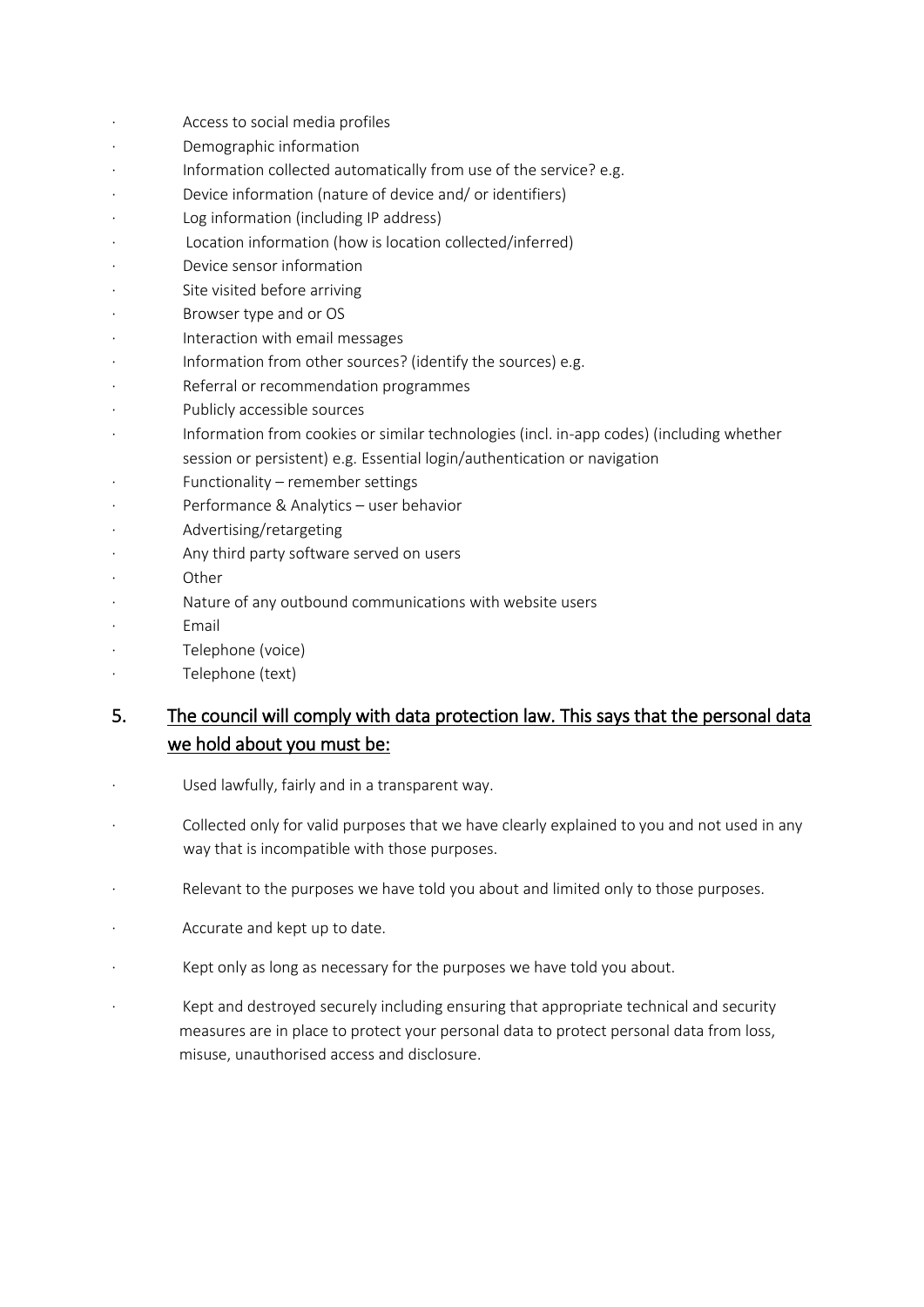- Access to social media profiles
- Demographic information
- Information collected automatically from use of the service? e.g.
- Device information (nature of device and/ or identifiers)
- Log information (including IP address)
- Location information (how is location collected/inferred)
- · Device sensor information
- Site visited before arriving
- Browser type and or OS
- · Interaction with email messages
- Information from other sources? (identify the sources) e.g.
- Referral or recommendation programmes
- Publicly accessible sources
- Information from cookies or similar technologies (incl. in-app codes) (including whether
	- session or persistent) e.g. Essential login/authentication or navigation
- Functionality remember settings
- · Performance & Analytics user behavior
- Advertising/retargeting
- Any third party software served on users
- **Other**
- Nature of any outbound communications with website users
- · Email
- Telephone (voice)
- Telephone (text)

# 5. The council will comply with data protection law. This says that the personal data we hold about you must be:

- Used lawfully, fairly and in a transparent way.
- Collected only for valid purposes that we have clearly explained to you and not used in any way that is incompatible with those purposes.
- Relevant to the purposes we have told you about and limited only to those purposes.
- Accurate and kept up to date.
- Kept only as long as necessary for the purposes we have told you about.
- Kept and destroyed securely including ensuring that appropriate technical and security measures are in place to protect your personal data to protect personal data from loss, misuse, unauthorised access and disclosure.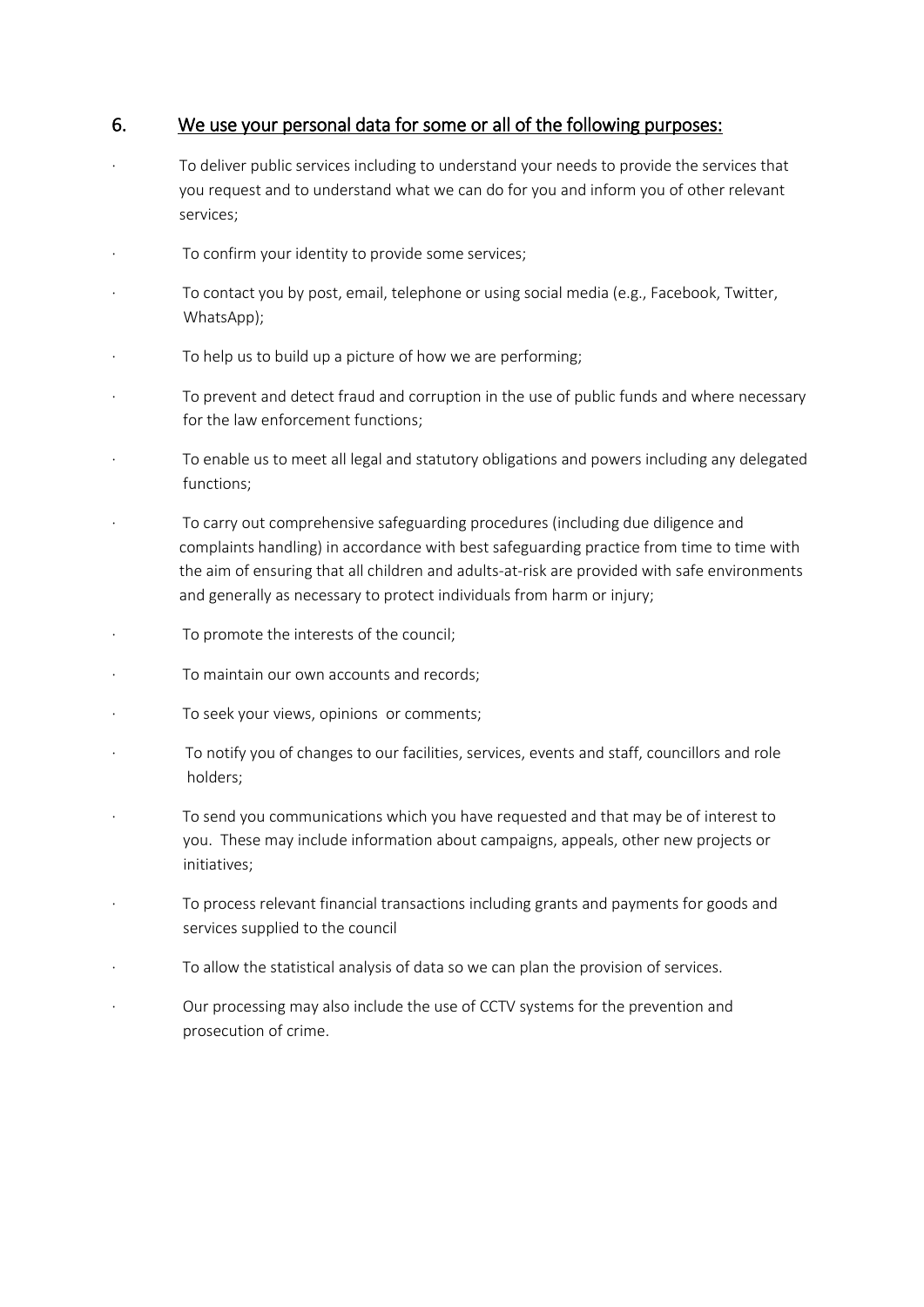#### 6. We use your personal data for some or all of the following purposes:

- · To deliver public services including to understand your needs to provide the services that you request and to understand what we can do for you and inform you of other relevant services;
- To confirm your identity to provide some services;
- · To contact you by post, email, telephone or using social media (e.g., Facebook, Twitter, WhatsApp);
- To help us to build up a picture of how we are performing;
- · To prevent and detect fraud and corruption in the use of public funds and where necessary for the law enforcement functions;
- · To enable us to meet all legal and statutory obligations and powers including any delegated functions;
- · To carry out comprehensive safeguarding procedures (including due diligence and complaints handling) in accordance with best safeguarding practice from time to time with the aim of ensuring that all children and adults-at-risk are provided with safe environments and generally as necessary to protect individuals from harm or injury;
- To promote the interests of the council;
- To maintain our own accounts and records;
- To seek your views, opinions or comments;
- To notify you of changes to our facilities, services, events and staff, councillors and role holders;
- To send you communications which you have requested and that may be of interest to you. These may include information about campaigns, appeals, other new projects or initiatives;
- · To process relevant financial transactions including grants and payments for goods and services supplied to the council
- To allow the statistical analysis of data so we can plan the provision of services.
- Our processing may also include the use of CCTV systems for the prevention and prosecution of crime.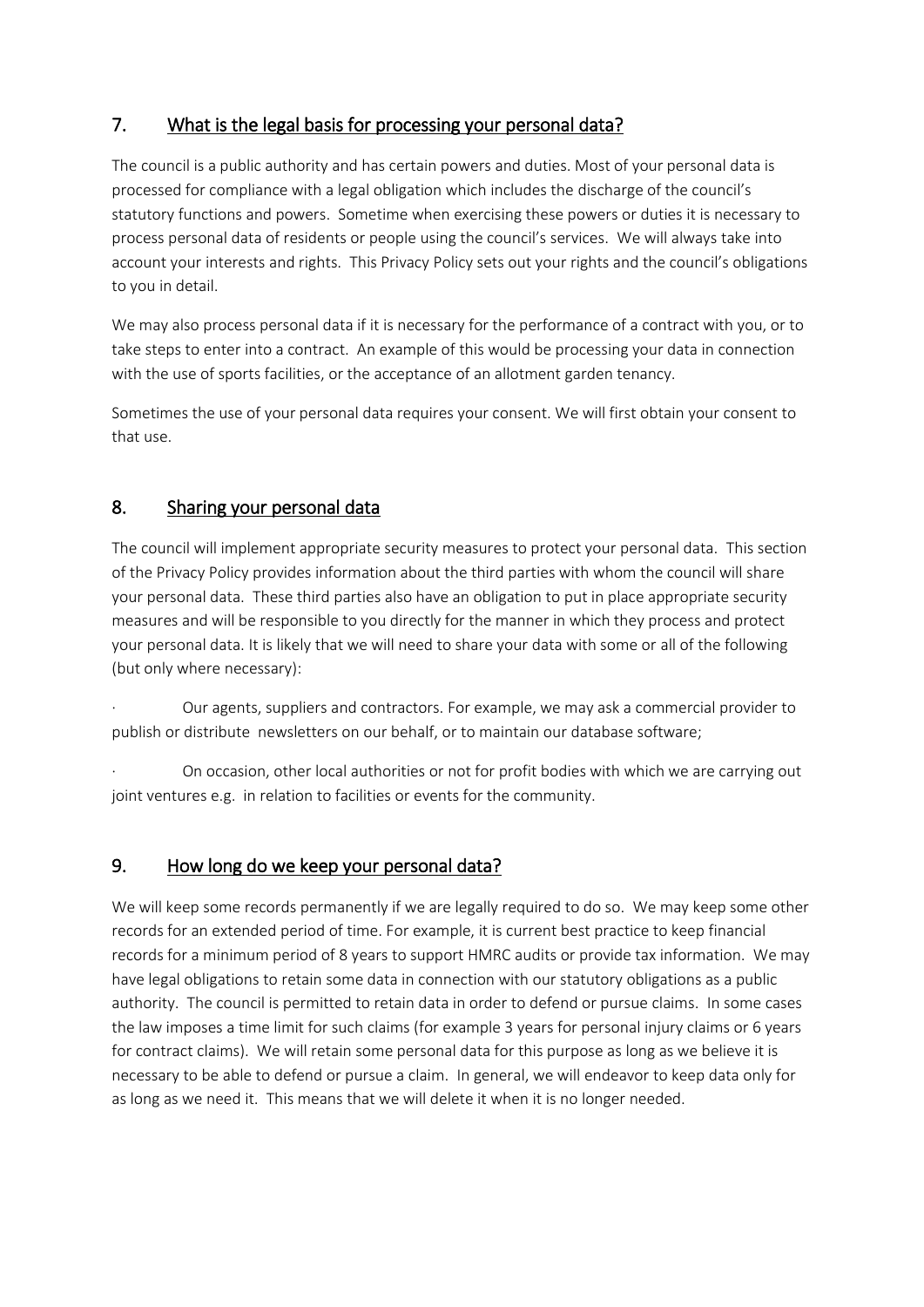## 7. What is the legal basis for processing your personal data?

The council is a public authority and has certain powers and duties. Most of your personal data is processed for compliance with a legal obligation which includes the discharge of the council's statutory functions and powers. Sometime when exercising these powers or duties it is necessary to process personal data of residents or people using the council's services. We will always take into account your interests and rights. This Privacy Policy sets out your rights and the council's obligations to you in detail.

We may also process personal data if it is necessary for the performance of a contract with you, or to take steps to enter into a contract. An example of this would be processing your data in connection with the use of sports facilities, or the acceptance of an allotment garden tenancy.

Sometimes the use of your personal data requires your consent. We will first obtain your consent to that use.

### 8. Sharing your personal data

The council will implement appropriate security measures to protect your personal data. This section of the Privacy Policy provides information about the third parties with whom the council will share your personal data. These third parties also have an obligation to put in place appropriate security measures and will be responsible to you directly for the manner in which they process and protect your personal data. It is likely that we will need to share your data with some or all of the following (but only where necessary):

· Our agents, suppliers and contractors. For example, we may ask a commercial provider to publish or distribute newsletters on our behalf, or to maintain our database software;

On occasion, other local authorities or not for profit bodies with which we are carrying out joint ventures e.g. in relation to facilities or events for the community.

### 9. How long do we keep your personal data?

We will keep some records permanently if we are legally required to do so. We may keep some other records for an extended period of time. For example, it is current best practice to keep financial records for a minimum period of 8 years to support HMRC audits or provide tax information. We may have legal obligations to retain some data in connection with our statutory obligations as a public authority. The council is permitted to retain data in order to defend or pursue claims. In some cases the law imposes a time limit for such claims (for example 3 years for personal injury claims or 6 years for contract claims). We will retain some personal data for this purpose as long as we believe it is necessary to be able to defend or pursue a claim. In general, we will endeavor to keep data only for as long as we need it. This means that we will delete it when it is no longer needed.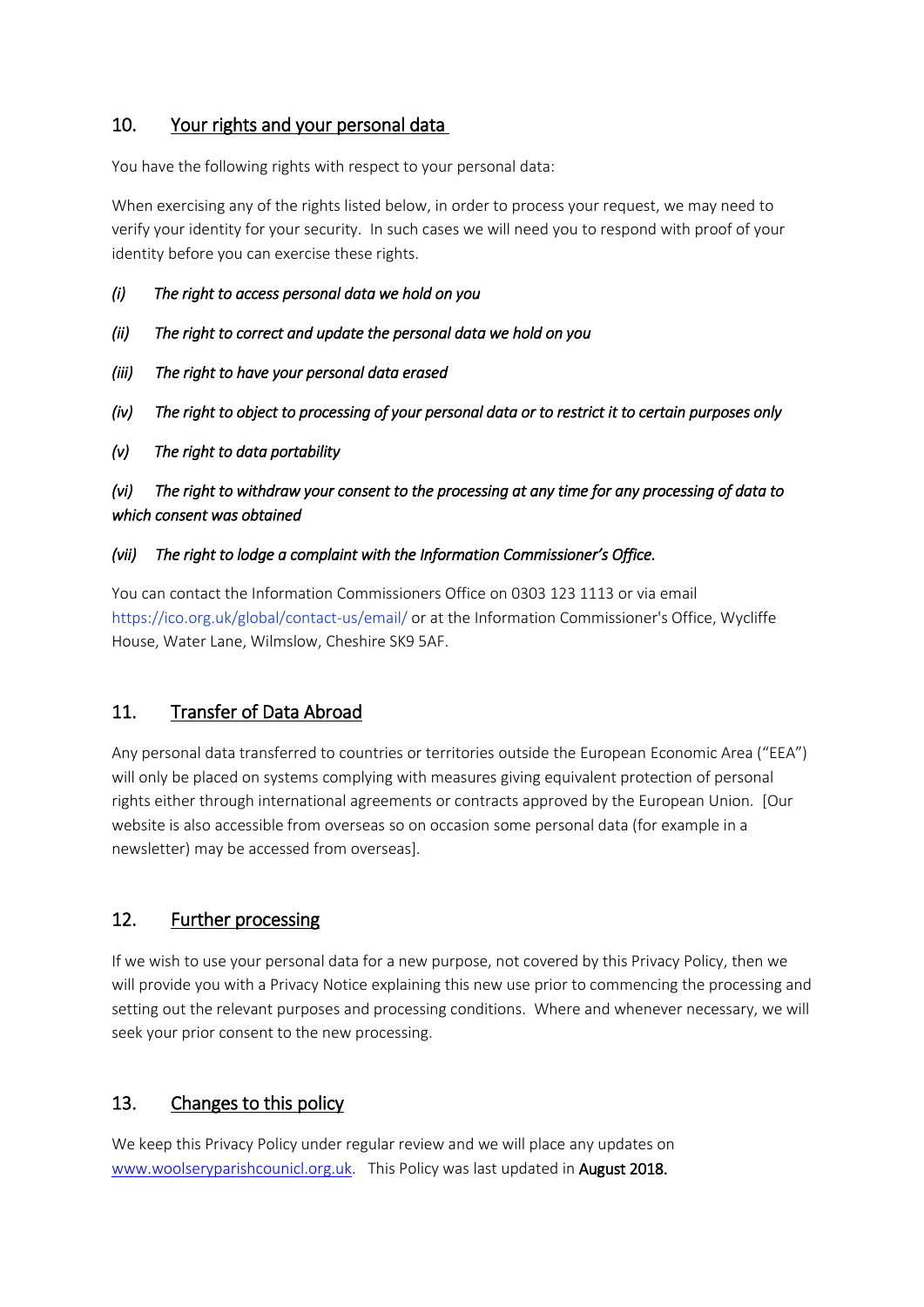### 10. Your rights and your personal data

You have the following rights with respect to your personal data:

When exercising any of the rights listed below, in order to process your request, we may need to verify your identity for your security. In such cases we will need you to respond with proof of your identity before you can exercise these rights.

- *(i) The right to access personal data we hold on you*
- *(ii) The right to correct and update the personal data we hold on you*
- *(iii) The right to have your personal data erased*
- *(iv) The right to object to processing of your personal data or to restrict it to certain purposes only*
- *(v) The right to data portability*

*(vi) The right to withdraw your consent to the processing at any time for any processing of data to which consent was obtained*

#### *(vii) The right to lodge a complaint with the Information Commissioner's Office.*

You can contact the Information Commissioners Office on 0303 123 1113 or via email <https://ico.org.uk/global/contact-us/email/> or at the Information Commissioner's Office, Wycliffe House, Water Lane, Wilmslow, Cheshire SK9 5AF.

## 11. Transfer of Data Abroad

Any personal data transferred to countries or territories outside the European Economic Area ("EEA") will only be placed on systems complying with measures giving equivalent protection of personal rights either through international agreements or contracts approved by the European Union. [Our website is also accessible from overseas so on occasion some personal data (for example in a newsletter) may be accessed from overseas].

### 12. Further processing

If we wish to use your personal data for a new purpose, not covered by this Privacy Policy, then we will provide you with a Privacy Notice explaining this new use prior to commencing the processing and setting out the relevant purposes and processing conditions. Where and whenever necessary, we will seek your prior consent to the new processing.

## 13. Changes to this policy

We keep this Privacy Policy under regular review and we will place any updates on [www.woolseryparishcounicl.org.uk.](http://www.woolseryparishcounicl.org.uk/) This Policy was last updated in August 2018.